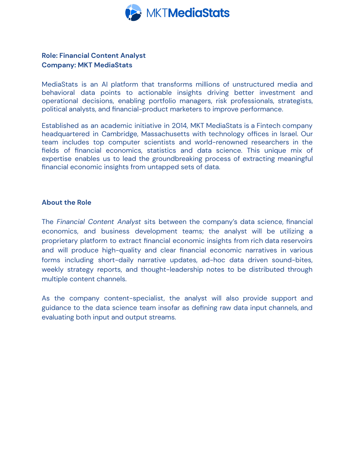

# **Role: Financial Content Analyst Company: MKT MediaStats**

MediaStats is an AI platform that transforms millions of unstructured media and behavioral data points to actionable insights driving better investment and operational decisions, enabling portfolio managers, risk professionals, strategists, political analysts, and financial-product marketers to improve performance.

Established as an academic initiative in 2014, MKT MediaStats is a Fintech company headquartered in Cambridge, Massachusetts with technology offices in Israel. Our team includes top computer scientists and world-renowned researchers in the fields of financial economics, statistics and data science. This unique mix of expertise enables us to lead the groundbreaking process of extracting meaningful financial economic insights from untapped sets of data.

#### **About the Role**

The *Financial Content Analyst* sits between the company's data science, financial economics, and business development teams; the analyst will be utilizing a proprietary platform to extract financial economic insights from rich data reservoirs and will produce high-quality and clear financial economic narratives in various forms including short-daily narrative updates, ad-hoc data driven sound-bites, weekly strategy reports, and thought-leadership notes to be distributed through multiple content channels.

As the company content-specialist, the analyst will also provide support and guidance to the data science team insofar as defining raw data input channels, and evaluating both input and output streams.